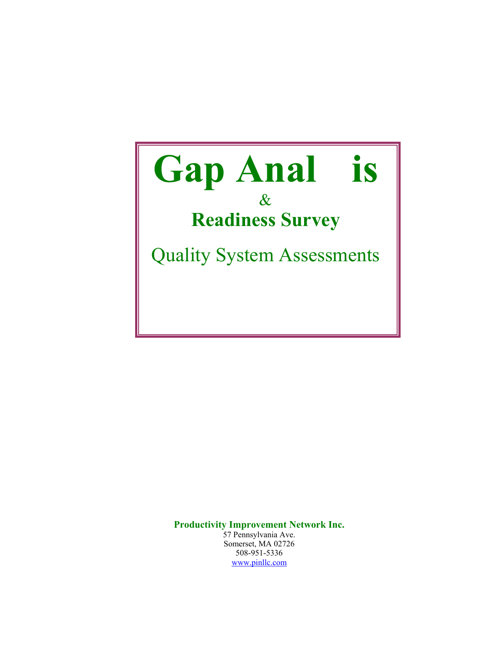

**Productivity Improvement Network Inc.**  57 Pennsylvania Ave.

Somerset, MA 02726 508-951-5336 [www.pinllc.com](http://www.pinllc.com/)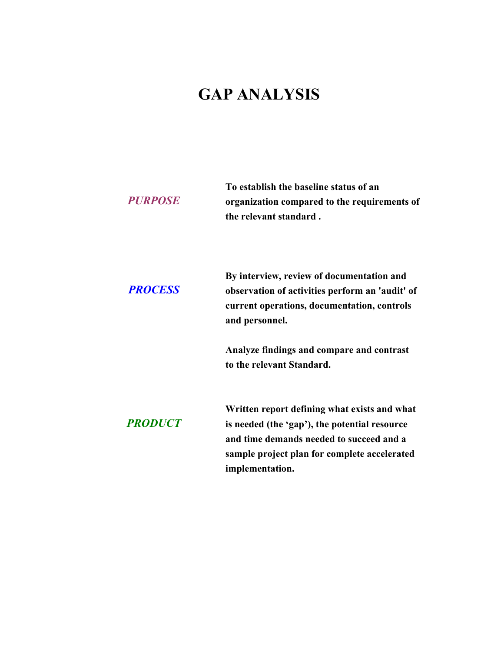# **GAP ANALYSIS**

| To establish the baseline status of an       |
|----------------------------------------------|
| organization compared to the requirements of |
| the relevant standard.                       |
|                                              |

| <b>PROCESS</b> | By interview, review of documentation and<br>observation of activities perform an 'audit' of<br>current operations, documentation, controls<br>and personnel. |
|----------------|---------------------------------------------------------------------------------------------------------------------------------------------------------------|
|                | Analyze findings and compare and contrast<br>to the relevant Standard.                                                                                        |
| <b>PRODUCT</b> | Written report defining what exists and what<br>is needed (the 'gap'), the potential resource                                                                 |
|                | and time demands needed to succeed and a<br>sample project plan for complete accelerated                                                                      |
|                | implementation.                                                                                                                                               |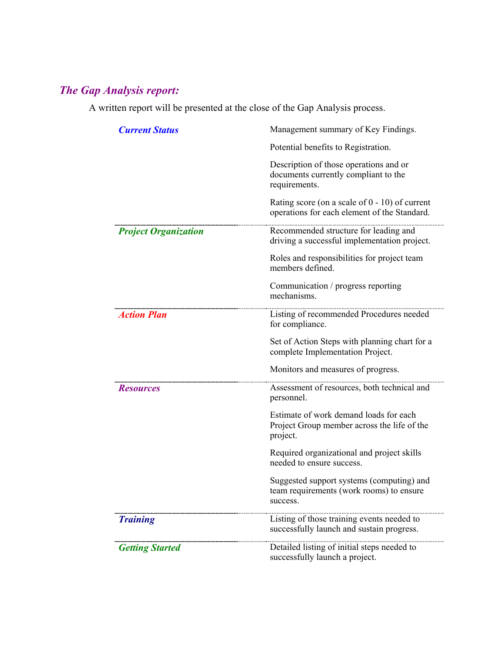# *The Gap Analysis report:*

A written report will be presented at the close of the Gap Analysis process.

| <b>Current Status</b>       | Management summary of Key Findings.                                                               |
|-----------------------------|---------------------------------------------------------------------------------------------------|
|                             | Potential benefits to Registration.                                                               |
|                             | Description of those operations and or<br>documents currently compliant to the<br>requirements.   |
|                             | Rating score (on a scale of $0 - 10$ ) of current<br>operations for each element of the Standard. |
| <b>Project Organization</b> | Recommended structure for leading and<br>driving a successful implementation project.             |
|                             | Roles and responsibilities for project team<br>members defined.                                   |
|                             | Communication / progress reporting<br>mechanisms.                                                 |
| <b>Action Plan</b>          | Listing of recommended Procedures needed<br>for compliance.                                       |
|                             | Set of Action Steps with planning chart for a<br>complete Implementation Project.                 |
|                             | Monitors and measures of progress.                                                                |
| <i><b>Resources</b></i>     | Assessment of resources, both technical and<br>personnel.                                         |
|                             | Estimate of work demand loads for each<br>Project Group member across the life of the<br>project. |
|                             | Required organizational and project skills<br>needed to ensure success.                           |
|                             | Suggested support systems (computing) and<br>team requirements (work rooms) to ensure<br>success. |
| <b>Training</b>             | Listing of those training events needed to<br>successfully launch and sustain progress.           |
| <b>Getting Started</b>      | Detailed listing of initial steps needed to<br>successfully launch a project.                     |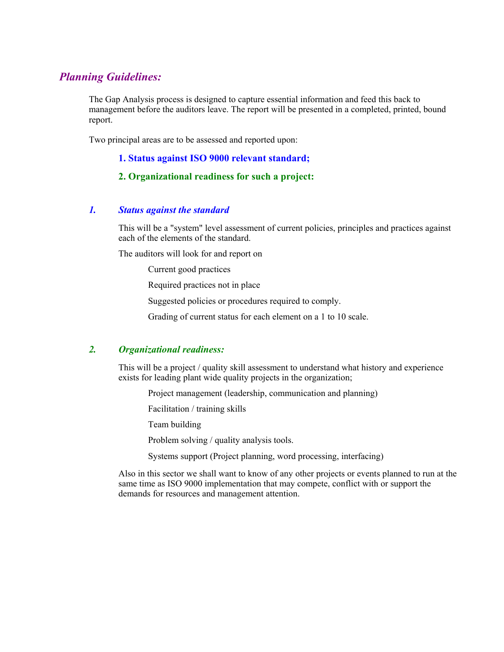### *Planning Guidelines:*

The Gap Analysis process is designed to capture essential information and feed this back to management before the auditors leave. The report will be presented in a completed, printed, bound report.

Two principal areas are to be assessed and reported upon:

**1. Status against ISO 9000 relevant standard;** 

#### **2. Organizational readiness for such a project:**

#### *1. Status against the standard*

This will be a "system" level assessment of current policies, principles and practices against each of the elements of the standard.

The auditors will look for and report on

Current good practices

Required practices not in place

Suggested policies or procedures required to comply.

Grading of current status for each element on a 1 to 10 scale.

#### *2. Organizational readiness:*

This will be a project / quality skill assessment to understand what history and experience exists for leading plant wide quality projects in the organization;

Project management (leadership, communication and planning)

Facilitation / training skills

Team building

Problem solving / quality analysis tools.

Systems support (Project planning, word processing, interfacing)

Also in this sector we shall want to know of any other projects or events planned to run at the same time as ISO 9000 implementation that may compete, conflict with or support the demands for resources and management attention.